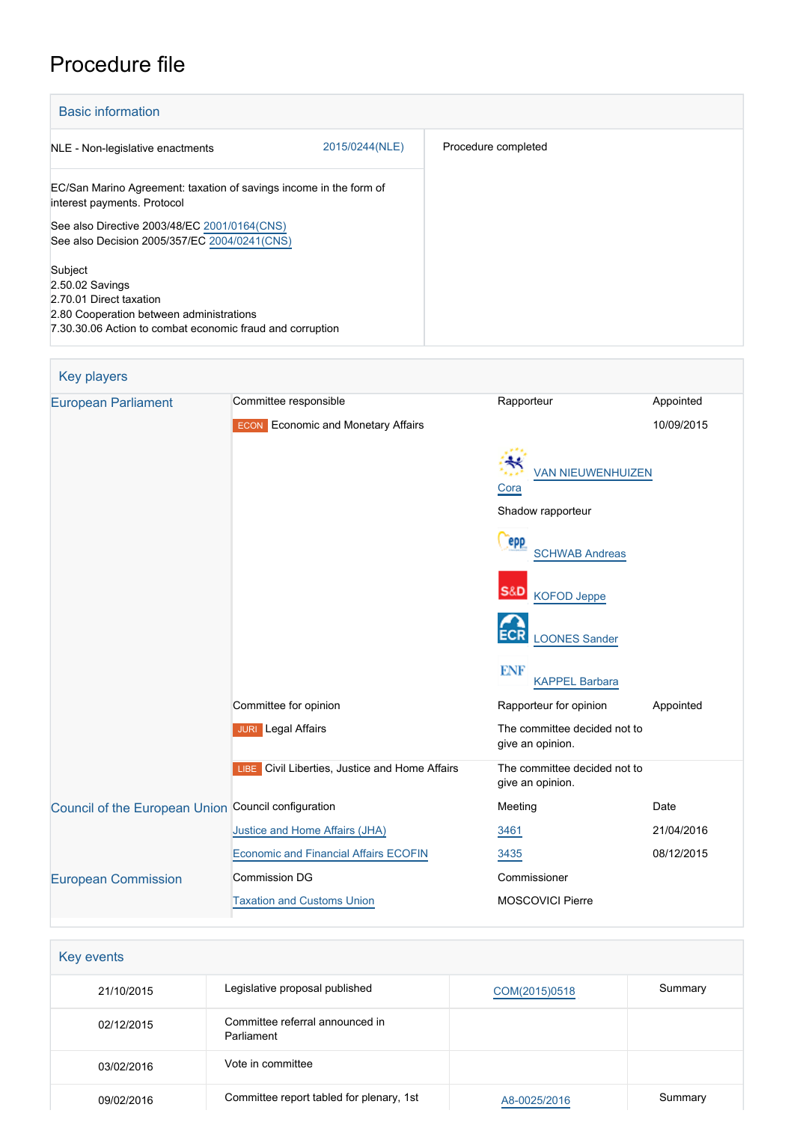# Procedure file

| <b>Basic information</b>                                                                                                                                       |                |                     |
|----------------------------------------------------------------------------------------------------------------------------------------------------------------|----------------|---------------------|
| NLE - Non-legislative enactments                                                                                                                               | 2015/0244(NLE) | Procedure completed |
| EC/San Marino Agreement: taxation of savings income in the form of<br>interest payments. Protocol                                                              |                |                     |
| See also Directive 2003/48/EC 2001/0164(CNS)<br>See also Decision 2005/357/EC 2004/0241(CNS)                                                                   |                |                     |
| Subject<br>2.50.02 Savings<br>2.70.01 Direct taxation<br>2.80 Cooperation between administrations<br>7.30.30.06 Action to combat economic fraud and corruption |                |                     |

| Key players                                         |                                                |                                                       |            |
|-----------------------------------------------------|------------------------------------------------|-------------------------------------------------------|------------|
| <b>European Parliament</b>                          | Committee responsible                          | Rapporteur                                            | Appointed  |
|                                                     | <b>ECON</b> Economic and Monetary Affairs      |                                                       | 10/09/2015 |
|                                                     |                                                | <b>VAN NIEUWENHUIZEN</b><br>Cora<br>Shadow rapporteur |            |
|                                                     |                                                | epp<br><b>SCHWAB Andreas</b>                          |            |
|                                                     |                                                | S&D<br><b>KOFOD Jeppe</b>                             |            |
|                                                     |                                                | <b>LOONES Sander</b>                                  |            |
|                                                     |                                                | <b>ENF</b><br><b>KAPPEL Barbara</b>                   |            |
|                                                     | Committee for opinion                          | Rapporteur for opinion                                | Appointed  |
|                                                     | <b>JURI</b> Legal Affairs                      | The committee decided not to<br>give an opinion.      |            |
|                                                     | LIBE Civil Liberties, Justice and Home Affairs | The committee decided not to<br>give an opinion.      |            |
| Council of the European Union Council configuration |                                                | Meeting                                               | Date       |
|                                                     | Justice and Home Affairs (JHA)                 | 3461                                                  | 21/04/2016 |
|                                                     | <b>Economic and Financial Affairs ECOFIN</b>   | 3435                                                  | 08/12/2015 |
| <b>European Commission</b>                          | Commission DG                                  | Commissioner                                          |            |
|                                                     | <b>Taxation and Customs Union</b>              | <b>MOSCOVICI Pierre</b>                               |            |

| Key events |                                               |               |         |
|------------|-----------------------------------------------|---------------|---------|
| 21/10/2015 | Legislative proposal published                | COM(2015)0518 | Summary |
| 02/12/2015 | Committee referral announced in<br>Parliament |               |         |
| 03/02/2016 | Vote in committee                             |               |         |
| 09/02/2016 | Committee report tabled for plenary, 1st      | A8-0025/2016  | Summary |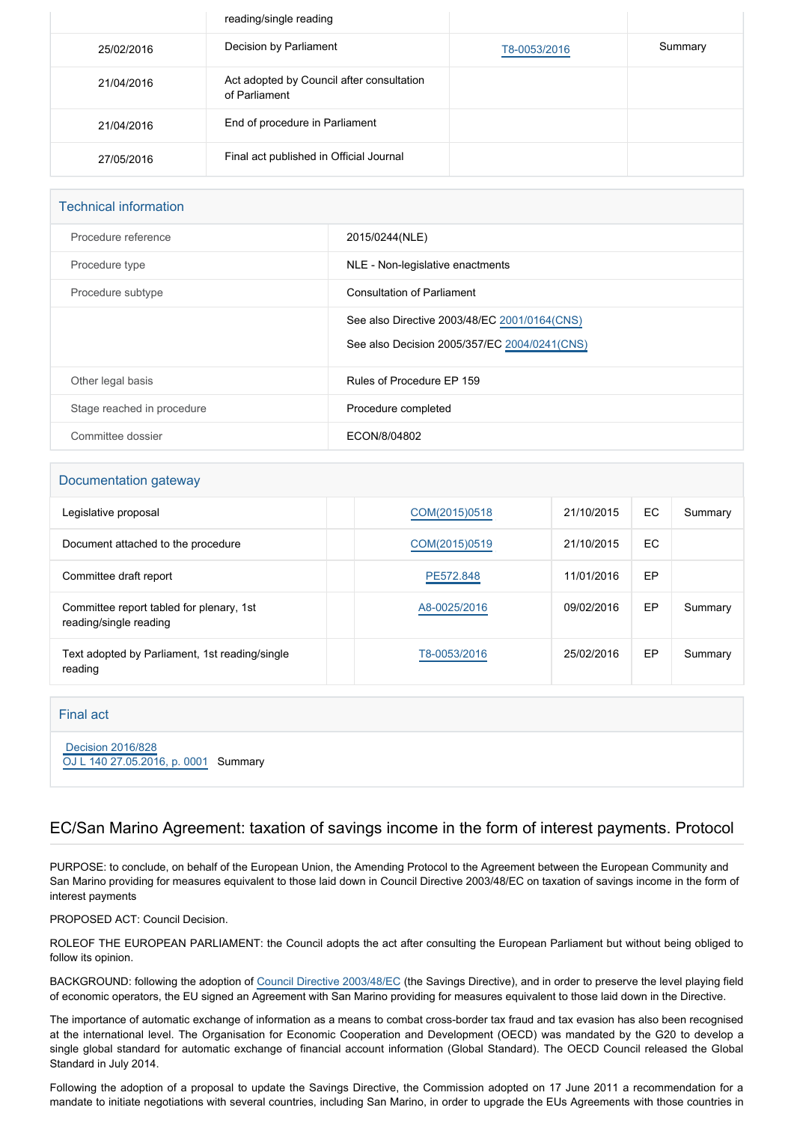|            | reading/single reading                                     |              |         |
|------------|------------------------------------------------------------|--------------|---------|
| 25/02/2016 | Decision by Parliament                                     | T8-0053/2016 | Summary |
| 21/04/2016 | Act adopted by Council after consultation<br>of Parliament |              |         |
| 21/04/2016 | End of procedure in Parliament                             |              |         |
| 27/05/2016 | Final act published in Official Journal                    |              |         |

#### Technical information

| Procedure reference        | 2015/0244(NLE)                                                                               |
|----------------------------|----------------------------------------------------------------------------------------------|
| Procedure type             | NLE - Non-legislative enactments                                                             |
| Procedure subtype          | <b>Consultation of Parliament</b>                                                            |
|                            | See also Directive 2003/48/EC 2001/0164(CNS)<br>See also Decision 2005/357/EC 2004/0241(CNS) |
| Other legal basis          | Rules of Procedure EP 159                                                                    |
| Stage reached in procedure | Procedure completed                                                                          |
| Committee dossier          | ECON/8/04802                                                                                 |

#### Documentation gateway

| Legislative proposal                                               | COM(2015)0518 | 21/10/2015 | EC. | Summary |
|--------------------------------------------------------------------|---------------|------------|-----|---------|
| Document attached to the procedure                                 | COM(2015)0519 | 21/10/2015 | EC. |         |
| Committee draft report                                             | PE572.848     | 11/01/2016 | EP  |         |
| Committee report tabled for plenary, 1st<br>reading/single reading | A8-0025/2016  | 09/02/2016 | EP  | Summary |
| Text adopted by Parliament, 1st reading/single<br>reading          | T8-0053/2016  | 25/02/2016 | EP  | Summary |

#### Final act

 [Decision 2016/828](https://eur-lex.europa.eu/smartapi/cgi/sga_doc?smartapi!celexplus!prod!CELEXnumdoc&lg=EN&numdoc=32016D0828) [OJ L 140 27.05.2016, p. 0001](https://eur-lex.europa.eu/legal-content/EN/TXT/?uri=OJ:L:2016:140:TOC) Summary

## EC/San Marino Agreement: taxation of savings income in the form of interest payments. Protocol

PURPOSE: to conclude, on behalf of the European Union, the Amending Protocol to the Agreement between the European Community and San Marino providing for measures equivalent to those laid down in Council Directive 2003/48/EC on taxation of savings income in the form of interest payments

PROPOSED ACT: Council Decision.

ROLEOF THE EUROPEAN PARLIAMENT: the Council adopts the act after consulting the European Parliament but without being obliged to follow its opinion.

BACKGROUND: following the adoption of [Council Directive 2003/48/EC](http://www.europarl.europa.eu/oeil/popups/ficheprocedure.do?reference=2001/0164(CNS)&l=en) (the Savings Directive), and in order to preserve the level playing field of economic operators, the EU signed an Agreement with San Marino providing for measures equivalent to those laid down in the Directive.

The importance of automatic exchange of information as a means to combat cross-border tax fraud and tax evasion has also been recognised at the international level. The Organisation for Economic Cooperation and Development (OECD) was mandated by the G20 to develop a single global standard for automatic exchange of financial account information (Global Standard). The OECD Council released the Global Standard in July 2014.

Following the adoption of a proposal to update the Savings Directive, the Commission adopted on 17 June 2011 a recommendation for a mandate to initiate negotiations with several countries, including San Marino, in order to upgrade the EUs Agreements with those countries in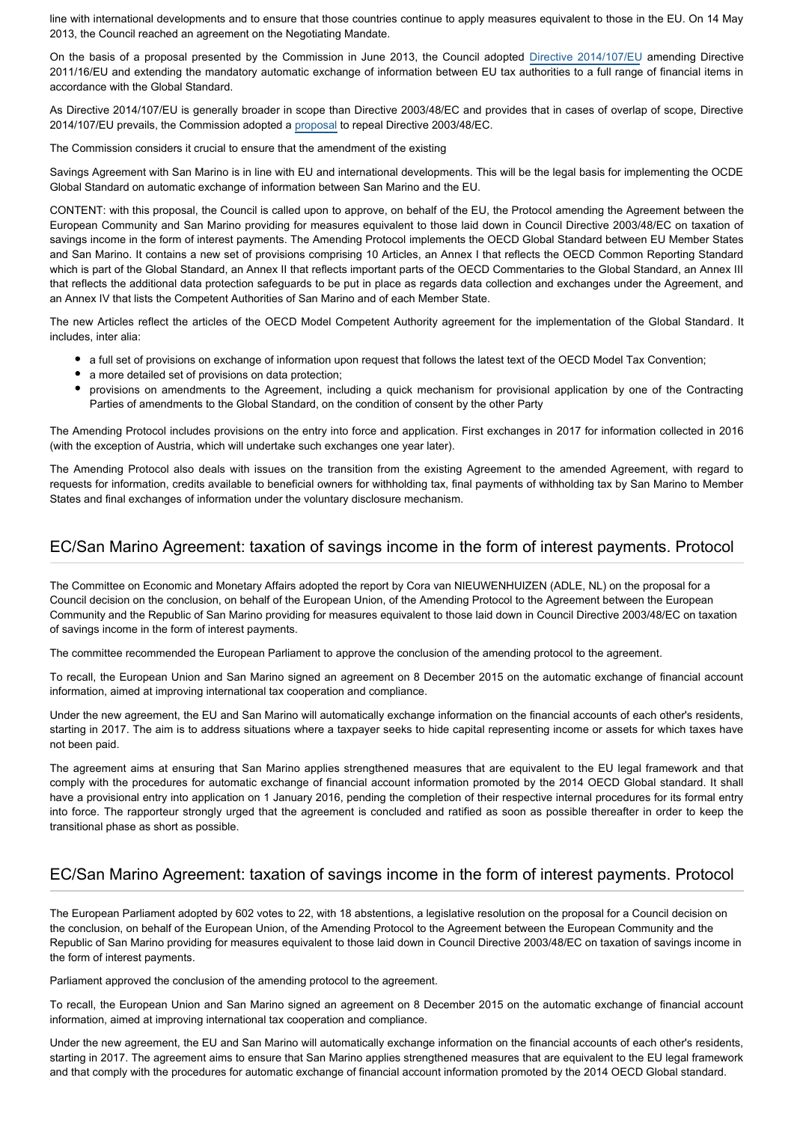line with international developments and to ensure that those countries continue to apply measures equivalent to those in the EU. On 14 May 2013, the Council reached an agreement on the Negotiating Mandate.

On the basis of a proposal presented by the Commission in June 2013, the Council adopted [Directive 2014/107/EU](http://www.europarl.europa.eu/oeil/popups/ficheprocedure.do?reference=2013/0188(CNS)&l=en) amending Directive 2011/16/EU and extending the mandatory automatic exchange of information between EU tax authorities to a full range of financial items in accordance with the Global Standard.

As Directive 2014/107/EU is generally broader in scope than Directive 2003/48/EC and provides that in cases of overlap of scope, Directive 2014/107/EU prevails, the Commission adopted a [proposal](http://www.europarl.europa.eu/oeil/popups/ficheprocedure.do?reference=2015/0065(CNS)&l=en) to repeal Directive 2003/48/EC.

The Commission considers it crucial to ensure that the amendment of the existing

Savings Agreement with San Marino is in line with EU and international developments. This will be the legal basis for implementing the OCDE Global Standard on automatic exchange of information between San Marino and the EU.

CONTENT: with this proposal, the Council is called upon to approve, on behalf of the EU, the Protocol amending the Agreement between the European Community and San Marino providing for measures equivalent to those laid down in Council Directive 2003/48/EC on taxation of savings income in the form of interest payments. The Amending Protocol implements the OECD Global Standard between EU Member States and San Marino. It contains a new set of provisions comprising 10 Articles, an Annex I that reflects the OECD Common Reporting Standard which is part of the Global Standard, an Annex II that reflects important parts of the OECD Commentaries to the Global Standard, an Annex III that reflects the additional data protection safeguards to be put in place as regards data collection and exchanges under the Agreement, and an Annex IV that lists the Competent Authorities of San Marino and of each Member State.

The new Articles reflect the articles of the OECD Model Competent Authority agreement for the implementation of the Global Standard. It includes, inter alia:

- a full set of provisions on exchange of information upon request that follows the latest text of the OECD Model Tax Convention;
- a more detailed set of provisions on data protection;
- provisions on amendments to the Agreement, including a quick mechanism for provisional application by one of the Contracting Parties of amendments to the Global Standard, on the condition of consent by the other Party

The Amending Protocol includes provisions on the entry into force and application. First exchanges in 2017 for information collected in 2016 (with the exception of Austria, which will undertake such exchanges one year later).

The Amending Protocol also deals with issues on the transition from the existing Agreement to the amended Agreement, with regard to requests for information, credits available to beneficial owners for withholding tax, final payments of withholding tax by San Marino to Member States and final exchanges of information under the voluntary disclosure mechanism.

## EC/San Marino Agreement: taxation of savings income in the form of interest payments. Protocol

The Committee on Economic and Monetary Affairs adopted the report by Cora van NIEUWENHUIZEN (ADLE, NL) on the proposal for a Council decision on the conclusion, on behalf of the European Union, of the Amending Protocol to the Agreement between the European Community and the Republic of San Marino providing for measures equivalent to those laid down in Council Directive 2003/48/EC on taxation of savings income in the form of interest payments.

The committee recommended the European Parliament to approve the conclusion of the amending protocol to the agreement.

To recall, the European Union and San Marino signed an agreement on 8 December 2015 on the automatic exchange of financial account information, aimed at improving international tax cooperation and compliance.

Under the new agreement, the EU and San Marino will automatically exchange information on the financial accounts of each other's residents, starting in 2017. The aim is to address situations where a taxpayer seeks to hide capital representing income or assets for which taxes have not been paid.

The agreement aims at ensuring that San Marino applies strengthened measures that are equivalent to the EU legal framework and that comply with the procedures for automatic exchange of financial account information promoted by the 2014 OECD Global standard. It shall have a provisional entry into application on 1 January 2016, pending the completion of their respective internal procedures for its formal entry into force. The rapporteur strongly urged that the agreement is concluded and ratified as soon as possible thereafter in order to keep the transitional phase as short as possible.

## EC/San Marino Agreement: taxation of savings income in the form of interest payments. Protocol

The European Parliament adopted by 602 votes to 22, with 18 abstentions, a legislative resolution on the proposal for a Council decision on the conclusion, on behalf of the European Union, of the Amending Protocol to the Agreement between the European Community and the Republic of San Marino providing for measures equivalent to those laid down in Council Directive 2003/48/EC on taxation of savings income in the form of interest payments.

Parliament approved the conclusion of the amending protocol to the agreement.

To recall, the European Union and San Marino signed an agreement on 8 December 2015 on the automatic exchange of financial account information, aimed at improving international tax cooperation and compliance.

Under the new agreement, the EU and San Marino will automatically exchange information on the financial accounts of each other's residents, starting in 2017. The agreement aims to ensure that San Marino applies strengthened measures that are equivalent to the EU legal framework and that comply with the procedures for automatic exchange of financial account information promoted by the 2014 OECD Global standard.